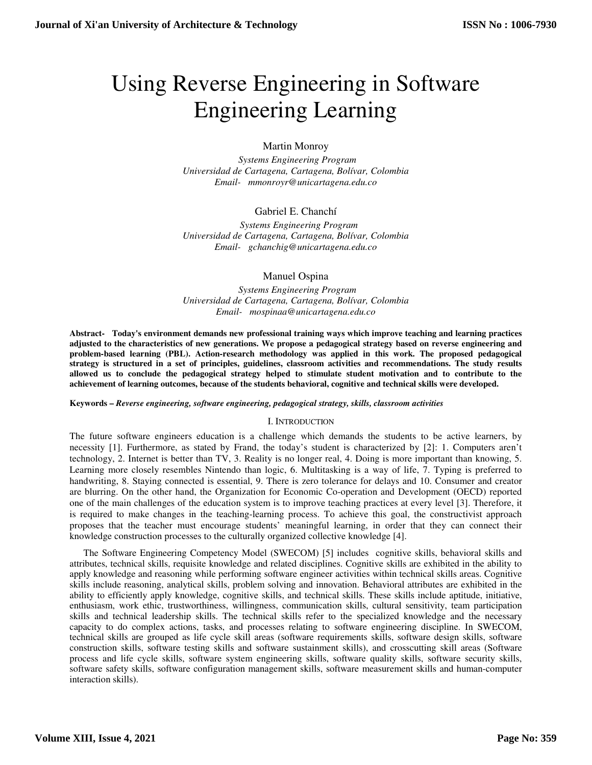# Using Reverse Engineering in Software Engineering Learning

# Martin Monroy

 *Systems Engineering Program Universidad de Cartagena, Cartagena, Bolívar, Colombia Email- mmonroyr@unicartagena.edu.co* 

# Gabriel E. Chanchí

 *Systems Engineering Program Universidad de Cartagena, Cartagena, Bolívar, Colombia Email- gchanchig@unicartagena.edu.co* 

## Manuel Ospina

 *Systems Engineering Program Universidad de Cartagena, Cartagena, Bolívar, Colombia Email- mospinaa@unicartagena.edu.co* 

**Abstract- Today's environment demands new professional training ways which improve teaching and learning practices adjusted to the characteristics of new generations. We propose a pedagogical strategy based on reverse engineering and problem-based learning (PBL). Action-research methodology was applied in this work. The proposed pedagogical strategy is structured in a set of principles, guidelines, classroom activities and recommendations. The study results allowed us to conclude the pedagogical strategy helped to stimulate student motivation and to contribute to the achievement of learning outcomes, because of the students behavioral, cognitive and technical skills were developed.** 

#### **Keywords –** *Reverse engineering, software engineering, pedagogical strategy, skills, classroom activities*

## I. INTRODUCTION

The future software engineers education is a challenge which demands the students to be active learners, by necessity [1]. Furthermore, as stated by Frand, the today's student is characterized by [2]: 1. Computers aren't technology, 2. Internet is better than TV, 3. Reality is no longer real, 4. Doing is more important than knowing, 5. Learning more closely resembles Nintendo than logic, 6. Multitasking is a way of life, 7. Typing is preferred to handwriting, 8. Staying connected is essential, 9. There is zero tolerance for delays and 10. Consumer and creator are blurring. On the other hand, the Organization for Economic Co-operation and Development (OECD) reported one of the main challenges of the education system is to improve teaching practices at every level [3]. Therefore, it is required to make changes in the teaching-learning process. To achieve this goal, the constructivist approach proposes that the teacher must encourage students' meaningful learning, in order that they can connect their knowledge construction processes to the culturally organized collective knowledge [4].

The Software Engineering Competency Model (SWECOM) [5] includes cognitive skills, behavioral skills and attributes, technical skills, requisite knowledge and related disciplines. Cognitive skills are exhibited in the ability to apply knowledge and reasoning while performing software engineer activities within technical skills areas. Cognitive skills include reasoning, analytical skills, problem solving and innovation. Behavioral attributes are exhibited in the ability to efficiently apply knowledge, cognitive skills, and technical skills. These skills include aptitude, initiative, enthusiasm, work ethic, trustworthiness, willingness, communication skills, cultural sensitivity, team participation skills and technical leadership skills. The technical skills refer to the specialized knowledge and the necessary capacity to do complex actions, tasks, and processes relating to software engineering discipline. In SWECOM, technical skills are grouped as life cycle skill areas (software requirements skills, software design skills, software construction skills, software testing skills and software sustainment skills), and crosscutting skill areas (Software process and life cycle skills, software system engineering skills, software quality skills, software security skills, software safety skills, software configuration management skills, software measurement skills and human-computer interaction skills).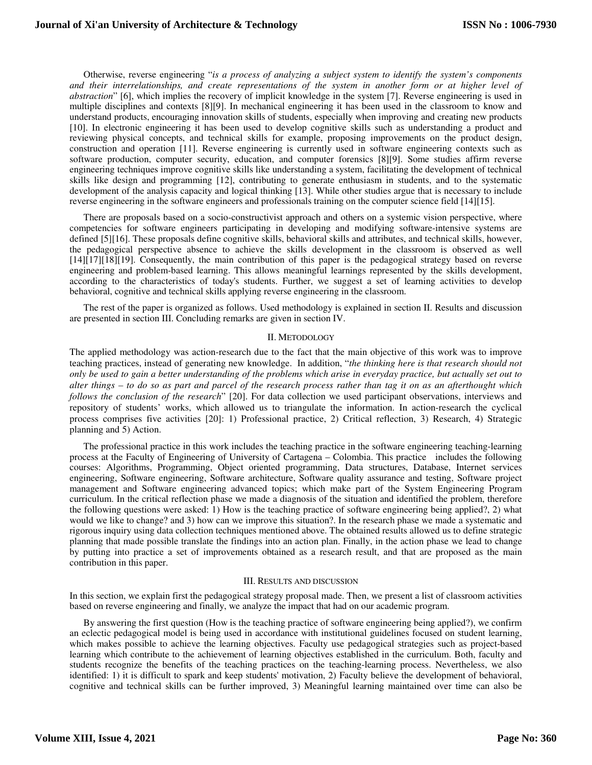Otherwise, reverse engineering "*is a process of analyzing a subject system to identify the system's components and their interrelationships, and create representations of the system in another form or at higher level of abstraction*" [6], which implies the recovery of implicit knowledge in the system [7]. Reverse engineering is used in multiple disciplines and contexts [8][9]. In mechanical engineering it has been used in the classroom to know and understand products, encouraging innovation skills of students, especially when improving and creating new products [10]. In electronic engineering it has been used to develop cognitive skills such as understanding a product and reviewing physical concepts, and technical skills for example, proposing improvements on the product design, construction and operation [11]. Reverse engineering is currently used in software engineering contexts such as software production, computer security, education, and computer forensics [8][9]. Some studies affirm reverse engineering techniques improve cognitive skills like understanding a system, facilitating the development of technical skills like design and programming [12], contributing to generate enthusiasm in students, and to the systematic development of the analysis capacity and logical thinking [13]. While other studies argue that is necessary to include reverse engineering in the software engineers and professionals training on the computer science field [14][15].

There are proposals based on a socio-constructivist approach and others on a systemic vision perspective, where competencies for software engineers participating in developing and modifying software-intensive systems are defined [5][16]. These proposals define cognitive skills, behavioral skills and attributes, and technical skills, however, the pedagogical perspective absence to achieve the skills development in the classroom is observed as well [14][17][18][19]. Consequently, the main contribution of this paper is the pedagogical strategy based on reverse engineering and problem-based learning. This allows meaningful learnings represented by the skills development, according to the characteristics of today's students. Further, we suggest a set of learning activities to develop behavioral, cognitive and technical skills applying reverse engineering in the classroom.

The rest of the paper is organized as follows. Used methodology is explained in section II. Results and discussion are presented in section III. Concluding remarks are given in section IV.

#### II. METODOLOGY

The applied methodology was action-research due to the fact that the main objective of this work was to improve teaching practices, instead of generating new knowledge. In addition, "*the thinking here is that research should not only be used to gain a better understanding of the problems which arise in everyday practice, but actually set out to alter things – to do so as part and parcel of the research process rather than tag it on as an afterthought which follows the conclusion of the research*" [20]. For data collection we used participant observations, interviews and repository of students' works, which allowed us to triangulate the information. In action-research the cyclical process comprises five activities [20]: 1) Professional practice, 2) Critical reflection, 3) Research, 4) Strategic planning and 5) Action.

The professional practice in this work includes the teaching practice in the software engineering teaching-learning process at the Faculty of Engineering of University of Cartagena – Colombia. This practice includes the following courses: Algorithms, Programming, Object oriented programming, Data structures, Database, Internet services engineering, Software engineering, Software architecture, Software quality assurance and testing, Software project management and Software engineering advanced topics; which make part of the System Engineering Program curriculum. In the critical reflection phase we made a diagnosis of the situation and identified the problem, therefore the following questions were asked: 1) How is the teaching practice of software engineering being applied?, 2) what would we like to change? and 3) how can we improve this situation?. In the research phase we made a systematic and rigorous inquiry using data collection techniques mentioned above. The obtained results allowed us to define strategic planning that made possible translate the findings into an action plan. Finally, in the action phase we lead to change by putting into practice a set of improvements obtained as a research result, and that are proposed as the main contribution in this paper.

#### III. RESULTS AND DISCUSSION

In this section, we explain first the pedagogical strategy proposal made. Then, we present a list of classroom activities based on reverse engineering and finally, we analyze the impact that had on our academic program.

By answering the first question (How is the teaching practice of software engineering being applied?), we confirm an eclectic pedagogical model is being used in accordance with institutional guidelines focused on student learning, which makes possible to achieve the learning objectives. Faculty use pedagogical strategies such as project-based learning which contribute to the achievement of learning objectives established in the curriculum. Both, faculty and students recognize the benefits of the teaching practices on the teaching-learning process. Nevertheless, we also identified: 1) it is difficult to spark and keep students' motivation, 2) Faculty believe the development of behavioral, cognitive and technical skills can be further improved, 3) Meaningful learning maintained over time can also be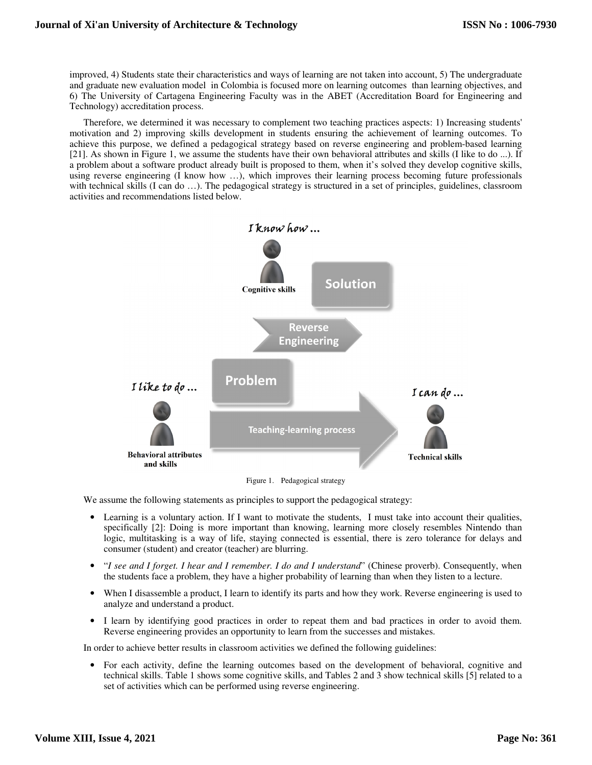improved, 4) Students state their characteristics and ways of learning are not taken into account, 5) The undergraduate and graduate new evaluation model in Colombia is focused more on learning outcomes than learning objectives, and 6) The University of Cartagena Engineering Faculty was in the ABET (Accreditation Board for Engineering and Technology) accreditation process.

Therefore, we determined it was necessary to complement two teaching practices aspects: 1) Increasing students' motivation and 2) improving skills development in students ensuring the achievement of learning outcomes. To achieve this purpose, we defined a pedagogical strategy based on reverse engineering and problem-based learning [21]. As shown in Figure 1, we assume the students have their own behavioral attributes and skills (I like to do ...). If a problem about a software product already built is proposed to them, when it's solved they develop cognitive skills, using reverse engineering (I know how …), which improves their learning process becoming future professionals with technical skills (I can do ...). The pedagogical strategy is structured in a set of principles, guidelines, classroom activities and recommendations listed below.



Figure 1. Pedagogical strategy

We assume the following statements as principles to support the pedagogical strategy:

- Learning is a voluntary action. If I want to motivate the students, I must take into account their qualities, specifically [2]: Doing is more important than knowing, learning more closely resembles Nintendo than logic, multitasking is a way of life, staying connected is essential, there is zero tolerance for delays and consumer (student) and creator (teacher) are blurring.
- "*I see and I forget. I hear and I remember. I do and I understand*" (Chinese proverb). Consequently, when the students face a problem, they have a higher probability of learning than when they listen to a lecture.
- When I disassemble a product, I learn to identify its parts and how they work. Reverse engineering is used to analyze and understand a product.
- I learn by identifying good practices in order to repeat them and bad practices in order to avoid them. Reverse engineering provides an opportunity to learn from the successes and mistakes.

In order to achieve better results in classroom activities we defined the following guidelines:

• For each activity, define the learning outcomes based on the development of behavioral, cognitive and technical skills. Table 1 shows some cognitive skills, and Tables 2 and 3 show technical skills [5] related to a set of activities which can be performed using reverse engineering.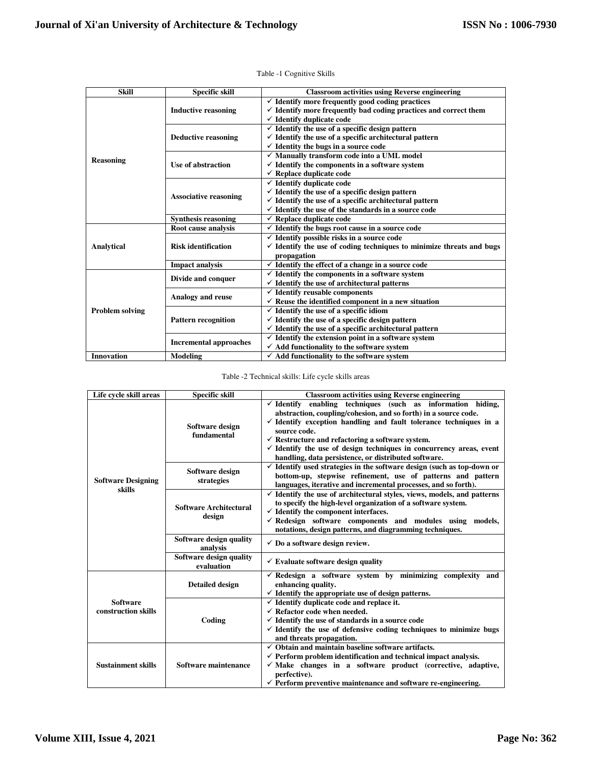| <b>Skill</b>           | <b>Specific skill</b>         | <b>Classroom activities using Reverse engineering</b>                           |
|------------------------|-------------------------------|---------------------------------------------------------------------------------|
| <b>Reasoning</b>       | <b>Inductive reasoning</b>    | $\checkmark$ Identify more frequently good coding practices                     |
|                        |                               | $\checkmark$ Identify more frequently bad coding practices and correct them     |
|                        |                               | $\checkmark$ Identify duplicate code                                            |
|                        | <b>Deductive reasoning</b>    | $\checkmark$ Identify the use of a specific design pattern                      |
|                        |                               | $\checkmark$ Identify the use of a specific architectural pattern               |
|                        |                               | $\checkmark$ Identity the bugs in a source code                                 |
|                        | Use of abstraction            | $\checkmark$ Manually transform code into a UML model                           |
|                        |                               | $\checkmark$ Identify the components in a software system                       |
|                        |                               | $\checkmark$ Replace duplicate code                                             |
|                        | <b>Associative reasoning</b>  | $\checkmark$ Identify duplicate code                                            |
|                        |                               | $\checkmark$ Identify the use of a specific design pattern                      |
|                        |                               | $\checkmark$ Identify the use of a specific architectural pattern               |
|                        |                               | $\checkmark$ Identify the use of the standards in a source code                 |
|                        | <b>Synthesis reasoning</b>    | $\checkmark$ Replace duplicate code                                             |
|                        | Root cause analysis           | $\checkmark$ Identify the bugs root cause in a source code                      |
|                        | <b>Risk identification</b>    | $\checkmark$ Identify possible risks in a source code                           |
| Analytical             |                               | $\checkmark$ Identify the use of coding techniques to minimize threats and bugs |
|                        |                               | propagation                                                                     |
|                        | <b>Impact analysis</b>        | $\checkmark$ Identify the effect of a change in a source code                   |
|                        | Divide and conquer            | $\checkmark$ Identify the components in a software system                       |
|                        |                               | $\checkmark$ Identify the use of architectural patterns                         |
|                        | <b>Analogy and reuse</b>      | $\checkmark$ Identify reusable components                                       |
| <b>Problem solving</b> |                               | $\checkmark$ Reuse the identified component in a new situation                  |
|                        | <b>Pattern recognition</b>    | $\checkmark$ Identify the use of a specific idiom                               |
|                        |                               | $\checkmark$ Identify the use of a specific design pattern                      |
|                        |                               | $\checkmark$ Identify the use of a specific architectural pattern               |
|                        | <b>Incremental approaches</b> | $\checkmark$ Identify the extension point in a software system                  |
|                        |                               | $\checkmark$ Add functionality to the software system                           |
| <b>Innovation</b>      | <b>Modeling</b>               | $\checkmark$ Add functionality to the software system                           |

Table -1 Cognitive Skills

## Table -2 Technical skills: Life cycle skills areas

| Life cycle skill areas                 | <b>Specific skill</b>                 | <b>Classroom activities using Reverse engineering</b>                                                                                                                                                                                                                                                                                                                                                                                              |
|----------------------------------------|---------------------------------------|----------------------------------------------------------------------------------------------------------------------------------------------------------------------------------------------------------------------------------------------------------------------------------------------------------------------------------------------------------------------------------------------------------------------------------------------------|
| <b>Software Designing</b><br>skills    | Software design<br>fundamental        | $\checkmark$ Identify enabling techniques (such as information hiding,<br>abstraction, coupling/cohesion, and so forth) in a source code.<br>$\checkmark$ Identify exception handling and fault tolerance techniques in a<br>source code.<br>$\checkmark$ Restructure and refactoring a software system.<br>$\checkmark$ Identify the use of design techniques in concurrency areas, event<br>handling, data persistence, or distributed software. |
|                                        | Software design<br>strategies         | $\checkmark$ Identify used strategies in the software design (such as top-down or<br>bottom-up, stepwise refinement, use of patterns and pattern<br>languages, iterative and incremental processes, and so forth).                                                                                                                                                                                                                                 |
|                                        | Software Architectural<br>design      | $\checkmark$ Identify the use of architectural styles, views, models, and patterns<br>to specify the high-level organization of a software system.<br>$\checkmark$ Identify the component interfaces.<br>$\checkmark$ Redesign software components and modules using models,<br>notations, design patterns, and diagramming techniques.                                                                                                            |
|                                        | Software design quality<br>analysis   | $\checkmark$ Do a software design review.                                                                                                                                                                                                                                                                                                                                                                                                          |
|                                        | Software design quality<br>evaluation | $\checkmark$ Evaluate software design quality                                                                                                                                                                                                                                                                                                                                                                                                      |
| <b>Software</b><br>construction skills | <b>Detailed design</b>                | $\checkmark$ Redesign a software system by minimizing complexity and<br>enhancing quality.<br>$\checkmark$ Identify the appropriate use of design patterns.                                                                                                                                                                                                                                                                                        |
|                                        | Coding                                | $\checkmark$ Identify duplicate code and replace it.<br>$\checkmark$ Refactor code when needed.<br>$\checkmark$ Identify the use of standards in a source code<br>$\checkmark$ Identify the use of defensive coding techniques to minimize bugs<br>and threats propagation.                                                                                                                                                                        |
| <b>Sustainment skills</b>              | Software maintenance                  | $\checkmark$ Obtain and maintain baseline software artifacts.<br>$\checkmark$ Perform problem identification and technical impact analysis.<br>$\checkmark$ Make changes in a software product (corrective, adaptive,<br>perfective).<br>$\checkmark$ Perform preventive maintenance and software re-engineering.                                                                                                                                  |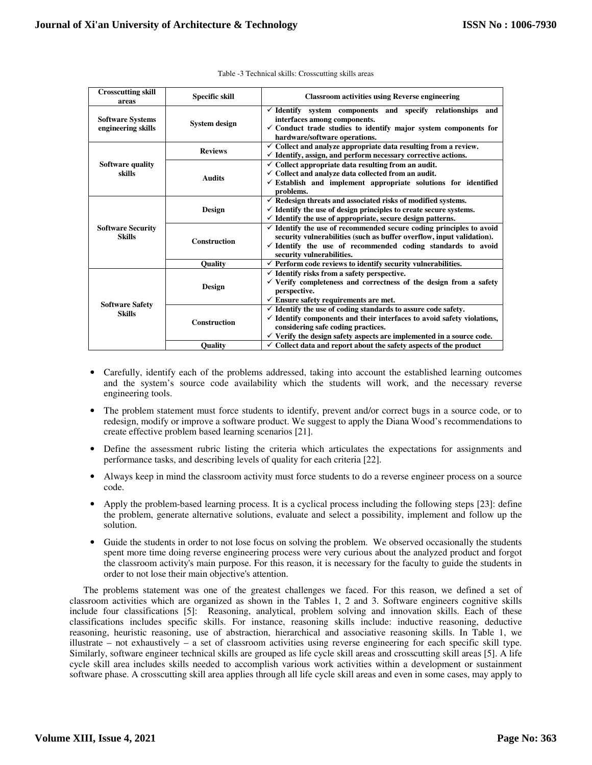| <b>Crosscutting skill</b><br>areas            | <b>Specific skill</b> | <b>Classroom activities using Reverse engineering</b>                                                                                                                                                                                                                                  |
|-----------------------------------------------|-----------------------|----------------------------------------------------------------------------------------------------------------------------------------------------------------------------------------------------------------------------------------------------------------------------------------|
| <b>Software Systems</b><br>engineering skills | System design         | $\checkmark$ Identify system components and specify relationships and<br>interfaces among components.<br>$\checkmark$ Conduct trade studies to identify major system components for<br>hardware/software operations.                                                                   |
| <b>Software quality</b><br>skills             | <b>Reviews</b>        | Collect and analyze appropriate data resulting from a review.<br>$\checkmark$ Identify, assign, and perform necessary corrective actions.                                                                                                                                              |
|                                               | <b>Audits</b>         | $\checkmark$ Collect appropriate data resulting from an audit.<br>$\checkmark$ Collect and analyze data collected from an audit.<br>$\checkmark$ Establish and implement appropriate solutions for identified<br>problems.                                                             |
| <b>Software Security</b><br><b>Skills</b>     | <b>Design</b>         | $\checkmark$ Redesign threats and associated risks of modified systems.<br>$\checkmark$ Identify the use of design principles to create secure systems.<br>$\checkmark$ Identify the use of appropriate, secure design patterns.                                                       |
|                                               | <b>Construction</b>   | $\checkmark$ Identify the use of recommended secure coding principles to avoid<br>security vulnerabilities (such as buffer overflow, input validation).<br>$\checkmark$ Identify the use of recommended coding standards to avoid<br>security vulnerabilities.                         |
|                                               | <b>Ouality</b>        | $\checkmark$ Perform code reviews to identify security vulnerabilities.                                                                                                                                                                                                                |
| <b>Software Safety</b><br><b>Skills</b>       | Design                | $\checkmark$ Identify risks from a safety perspective.<br>$\checkmark$ Verify completeness and correctness of the design from a safety<br>perspective.<br>$\checkmark$ Ensure safety requirements are met.                                                                             |
|                                               | <b>Construction</b>   | $\checkmark$ Identify the use of coding standards to assure code safety.<br>$\checkmark$ Identify components and their interfaces to avoid safety violations,<br>considering safe coding practices.<br>$\checkmark$ Verify the design safety aspects are implemented in a source code. |
|                                               | Quality               | $\checkmark$ Collect data and report about the safety aspects of the product                                                                                                                                                                                                           |

- Carefully, identify each of the problems addressed, taking into account the established learning outcomes and the system's source code availability which the students will work, and the necessary reverse engineering tools.
- The problem statement must force students to identify, prevent and/or correct bugs in a source code, or to redesign, modify or improve a software product. We suggest to apply the Diana Wood's recommendations to create effective problem based learning scenarios [21].
- Define the assessment rubric listing the criteria which articulates the expectations for assignments and performance tasks, and describing levels of quality for each criteria [22].
- Always keep in mind the classroom activity must force students to do a reverse engineer process on a source code.
- Apply the problem-based learning process. It is a cyclical process including the following steps [23]: define the problem, generate alternative solutions, evaluate and select a possibility, implement and follow up the solution.
- Guide the students in order to not lose focus on solving the problem. We observed occasionally the students spent more time doing reverse engineering process were very curious about the analyzed product and forgot the classroom activity's main purpose. For this reason, it is necessary for the faculty to guide the students in order to not lose their main objective's attention.

The problems statement was one of the greatest challenges we faced. For this reason, we defined a set of classroom activities which are organized as shown in the Tables 1, 2 and 3. Software engineers cognitive skills include four classifications [5]: Reasoning, analytical, problem solving and innovation skills. Each of these classifications includes specific skills. For instance, reasoning skills include: inductive reasoning, deductive reasoning, heuristic reasoning, use of abstraction, hierarchical and associative reasoning skills. In Table 1, we illustrate – not exhaustively – a set of classroom activities using reverse engineering for each specific skill type. Similarly, software engineer technical skills are grouped as life cycle skill areas and crosscutting skill areas [5]. A life cycle skill area includes skills needed to accomplish various work activities within a development or sustainment software phase. A crosscutting skill area applies through all life cycle skill areas and even in some cases, may apply to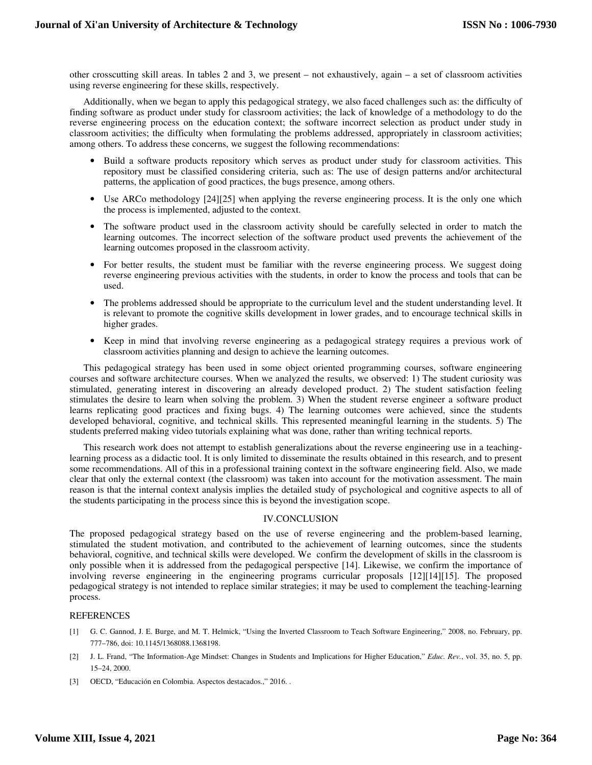other crosscutting skill areas. In tables 2 and 3, we present – not exhaustively, again – a set of classroom activities using reverse engineering for these skills, respectively.

Additionally, when we began to apply this pedagogical strategy, we also faced challenges such as: the difficulty of finding software as product under study for classroom activities; the lack of knowledge of a methodology to do the reverse engineering process on the education context; the software incorrect selection as product under study in classroom activities; the difficulty when formulating the problems addressed, appropriately in classroom activities; among others. To address these concerns, we suggest the following recommendations:

- Build a software products repository which serves as product under study for classroom activities. This repository must be classified considering criteria, such as: The use of design patterns and/or architectural patterns, the application of good practices, the bugs presence, among others.
- Use ARCo methodology [24][25] when applying the reverse engineering process. It is the only one which the process is implemented, adjusted to the context.
- The software product used in the classroom activity should be carefully selected in order to match the learning outcomes. The incorrect selection of the software product used prevents the achievement of the learning outcomes proposed in the classroom activity.
- For better results, the student must be familiar with the reverse engineering process. We suggest doing reverse engineering previous activities with the students, in order to know the process and tools that can be used.
- The problems addressed should be appropriate to the curriculum level and the student understanding level. It is relevant to promote the cognitive skills development in lower grades, and to encourage technical skills in higher grades.
- Keep in mind that involving reverse engineering as a pedagogical strategy requires a previous work of classroom activities planning and design to achieve the learning outcomes.

This pedagogical strategy has been used in some object oriented programming courses, software engineering courses and software architecture courses. When we analyzed the results, we observed: 1) The student curiosity was stimulated, generating interest in discovering an already developed product. 2) The student satisfaction feeling stimulates the desire to learn when solving the problem. 3) When the student reverse engineer a software product learns replicating good practices and fixing bugs. 4) The learning outcomes were achieved, since the students developed behavioral, cognitive, and technical skills. This represented meaningful learning in the students. 5) The students preferred making video tutorials explaining what was done, rather than writing technical reports.

This research work does not attempt to establish generalizations about the reverse engineering use in a teachinglearning process as a didactic tool. It is only limited to disseminate the results obtained in this research, and to present some recommendations. All of this in a professional training context in the software engineering field. Also, we made clear that only the external context (the classroom) was taken into account for the motivation assessment. The main reason is that the internal context analysis implies the detailed study of psychological and cognitive aspects to all of the students participating in the process since this is beyond the investigation scope.

## IV.CONCLUSION

The proposed pedagogical strategy based on the use of reverse engineering and the problem-based learning, stimulated the student motivation, and contributed to the achievement of learning outcomes, since the students behavioral, cognitive, and technical skills were developed. We confirm the development of skills in the classroom is only possible when it is addressed from the pedagogical perspective [14]. Likewise, we confirm the importance of involving reverse engineering in the engineering programs curricular proposals [12][14][15]. The proposed pedagogical strategy is not intended to replace similar strategies; it may be used to complement the teaching-learning process.

## **REFERENCES**

- [1] G. C. Gannod, J. E. Burge, and M. T. Helmick, "Using the Inverted Classroom to Teach Software Engineering," 2008, no. February, pp. 777–786, doi: 10.1145/1368088.1368198.
- [2] J. L. Frand, "The Information-Age Mindset: Changes in Students and Implications for Higher Education," *Educ. Rev.*, vol. 35, no. 5, pp. 15–24, 2000.
- [3] OECD, "Educación en Colombia. Aspectos destacados.," 2016. .